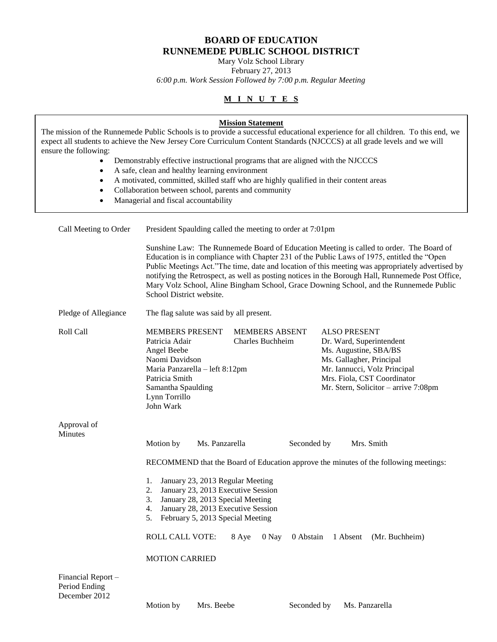## **BOARD OF EDUCATION RUNNEMEDE PUBLIC SCHOOL DISTRICT**

Mary Volz School Library

February 27, 2013

*6:00 p.m. Work Session Followed by 7:00 p.m. Regular Meeting*

# **M I N U T E S**

| ensure the following:<br>$\bullet$<br>$\bullet$<br>$\bullet$<br>$\bullet$<br>$\bullet$ | <b>Mission Statement</b><br>The mission of the Runnemede Public Schools is to provide a successful educational experience for all children. To this end, we<br>expect all students to achieve the New Jersey Core Curriculum Content Standards (NJCCCS) at all grade levels and we will<br>Demonstrably effective instructional programs that are aligned with the NJCCCS<br>A safe, clean and healthy learning environment<br>A motivated, committed, skilled staff who are highly qualified in their content areas<br>Collaboration between school, parents and community<br>Managerial and fiscal accountability |
|----------------------------------------------------------------------------------------|---------------------------------------------------------------------------------------------------------------------------------------------------------------------------------------------------------------------------------------------------------------------------------------------------------------------------------------------------------------------------------------------------------------------------------------------------------------------------------------------------------------------------------------------------------------------------------------------------------------------|
| Call Meeting to Order                                                                  | President Spaulding called the meeting to order at 7:01pm                                                                                                                                                                                                                                                                                                                                                                                                                                                                                                                                                           |
|                                                                                        | Sunshine Law: The Runnemede Board of Education Meeting is called to order. The Board of<br>Education is in compliance with Chapter 231 of the Public Laws of 1975, entitled the "Open<br>Public Meetings Act."The time, date and location of this meeting was appropriately advertised by<br>notifying the Retrospect, as well as posting notices in the Borough Hall, Runnemede Post Office,<br>Mary Volz School, Aline Bingham School, Grace Downing School, and the Runnemede Public<br>School District website.                                                                                                 |
| Pledge of Allegiance                                                                   | The flag salute was said by all present.                                                                                                                                                                                                                                                                                                                                                                                                                                                                                                                                                                            |
| Roll Call                                                                              | <b>MEMBERS PRESENT</b><br><b>MEMBERS ABSENT</b><br><b>ALSO PRESENT</b><br>Patricia Adair<br>Charles Buchheim<br>Dr. Ward, Superintendent<br>Ms. Augustine, SBA/BS<br>Angel Beebe<br>Naomi Davidson<br>Ms. Gallagher, Principal<br>Mr. Iannucci, Volz Principal<br>Maria Panzarella - left 8:12pm<br>Mrs. Fiola, CST Coordinator<br>Patricia Smith<br>Mr. Stern, Solicitor - arrive 7:08pm<br>Samantha Spaulding<br>Lynn Torrillo<br>John Wark                                                                                                                                                                       |
| Approval of<br><b>Minutes</b>                                                          |                                                                                                                                                                                                                                                                                                                                                                                                                                                                                                                                                                                                                     |
|                                                                                        | Motion by<br>Ms. Panzarella<br>Seconded by<br>Mrs. Smith<br>RECOMMEND that the Board of Education approve the minutes of the following meetings:                                                                                                                                                                                                                                                                                                                                                                                                                                                                    |
|                                                                                        | January 23, 2013 Regular Meeting<br>1.<br>January 23, 2013 Executive Session<br>2.<br>January 28, 2013 Special Meeting<br>3.<br>January 28, 2013 Executive Session<br>4.<br>5. February 5, 2013 Special Meeting<br>ROLL CALL VOTE:<br>8 Aye<br>0 Nay<br>0 Abstain<br>1 Absent<br>(Mr. Buchheim)<br><b>MOTION CARRIED</b>                                                                                                                                                                                                                                                                                            |
| Financial Report-<br>Period Ending<br>December 2012                                    |                                                                                                                                                                                                                                                                                                                                                                                                                                                                                                                                                                                                                     |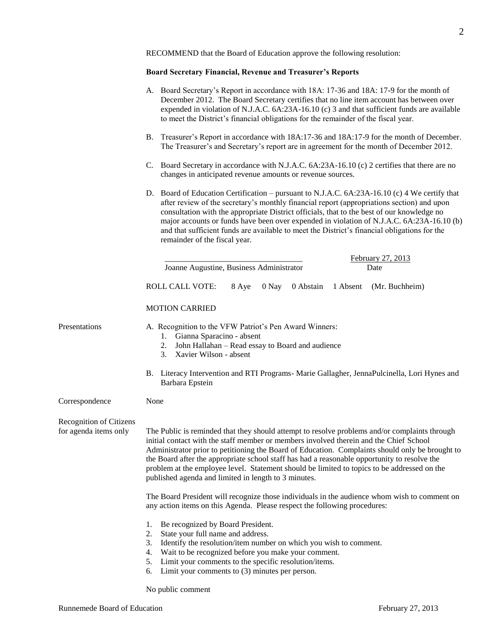RECOMMEND that the Board of Education approve the following resolution:

### **Board Secretary Financial, Revenue and Treasurer's Reports**

|                                                  | A. Board Secretary's Report in accordance with 18A: 17-36 and 18A: 17-9 for the month of<br>December 2012. The Board Secretary certifies that no line item account has between over<br>expended in violation of N.J.A.C. 6A:23A-16.10 (c) 3 and that sufficient funds are available<br>to meet the District's financial obligations for the remainder of the fiscal year.                                                                                                                                                                         |  |  |
|--------------------------------------------------|---------------------------------------------------------------------------------------------------------------------------------------------------------------------------------------------------------------------------------------------------------------------------------------------------------------------------------------------------------------------------------------------------------------------------------------------------------------------------------------------------------------------------------------------------|--|--|
|                                                  | B. Treasurer's Report in accordance with 18A:17-36 and 18A:17-9 for the month of December.<br>The Treasurer's and Secretary's report are in agreement for the month of December 2012.                                                                                                                                                                                                                                                                                                                                                             |  |  |
|                                                  | C. Board Secretary in accordance with N.J.A.C. 6A:23A-16.10 (c) 2 certifies that there are no<br>changes in anticipated revenue amounts or revenue sources.                                                                                                                                                                                                                                                                                                                                                                                       |  |  |
|                                                  | D. Board of Education Certification – pursuant to N.J.A.C. 6A:23A-16.10 (c) 4 We certify that<br>after review of the secretary's monthly financial report (appropriations section) and upon<br>consultation with the appropriate District officials, that to the best of our knowledge no<br>major accounts or funds have been over expended in violation of N.J.A.C. 6A:23A-16.10 (b)<br>and that sufficient funds are available to meet the District's financial obligations for the<br>remainder of the fiscal year.                           |  |  |
|                                                  | February 27, 2013<br>Joanne Augustine, Business Administrator<br>Date                                                                                                                                                                                                                                                                                                                                                                                                                                                                             |  |  |
|                                                  | 0 Abstain<br>ROLL CALL VOTE:<br>8 Aye<br>0 Nay<br>1 Absent<br>(Mr. Buchheim)                                                                                                                                                                                                                                                                                                                                                                                                                                                                      |  |  |
|                                                  | <b>MOTION CARRIED</b>                                                                                                                                                                                                                                                                                                                                                                                                                                                                                                                             |  |  |
| Presentations                                    | A. Recognition to the VFW Patriot's Pen Award Winners:<br>1. Gianna Sparacino - absent<br>John Hallahan - Read essay to Board and audience<br>2.<br>3. Xavier Wilson - absent                                                                                                                                                                                                                                                                                                                                                                     |  |  |
|                                                  | B. Literacy Intervention and RTI Programs- Marie Gallagher, JennaPulcinella, Lori Hynes and<br>Barbara Epstein                                                                                                                                                                                                                                                                                                                                                                                                                                    |  |  |
| Correspondence                                   | None                                                                                                                                                                                                                                                                                                                                                                                                                                                                                                                                              |  |  |
| Recognition of Citizens<br>for agenda items only | The Public is reminded that they should attempt to resolve problems and/or complaints through<br>initial contact with the staff member or members involved therein and the Chief School<br>Administrator prior to petitioning the Board of Education. Complaints should only be brought to<br>the Board after the appropriate school staff has had a reasonable opportunity to resolve the<br>problem at the employee level. Statement should be limited to topics to be addressed on the<br>published agenda and limited in length to 3 minutes. |  |  |
|                                                  | The Board President will recognize those individuals in the audience whom wish to comment on<br>any action items on this Agenda. Please respect the following procedures:                                                                                                                                                                                                                                                                                                                                                                         |  |  |
|                                                  | Be recognized by Board President.<br>1.<br>State your full name and address.<br>2.<br>3.<br>Identify the resolution/item number on which you wish to comment.<br>Wait to be recognized before you make your comment.<br>4.<br>5.<br>Limit your comments to the specific resolution/items.<br>6.<br>Limit your comments to $(3)$ minutes per person.<br>No public comment                                                                                                                                                                          |  |  |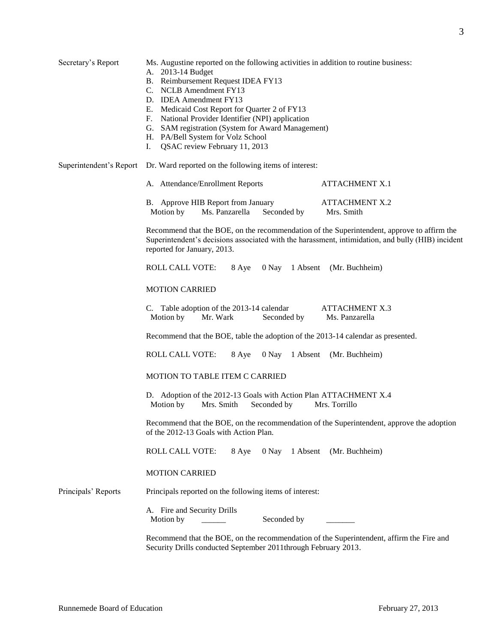| Secretary's Report      | Ms. Augustine reported on the following activities in addition to routine business:<br>A. 2013-14 Budget<br>B. Reimbursement Request IDEA FY13<br>C. NCLB Amendment FY13<br>D. IDEA Amendment FY13<br>E. Medicaid Cost Report for Quarter 2 of FY13<br>F. National Provider Identifier (NPI) application<br>G. SAM registration (System for Award Management)<br>H. PA/Bell System for Volz School<br>I. QSAC review February 11, 2013 |                     |                                                                                          |  |
|-------------------------|----------------------------------------------------------------------------------------------------------------------------------------------------------------------------------------------------------------------------------------------------------------------------------------------------------------------------------------------------------------------------------------------------------------------------------------|---------------------|------------------------------------------------------------------------------------------|--|
| Superintendent's Report | Dr. Ward reported on the following items of interest:                                                                                                                                                                                                                                                                                                                                                                                  |                     |                                                                                          |  |
|                         | A. Attendance/Enrollment Reports                                                                                                                                                                                                                                                                                                                                                                                                       |                     | <b>ATTACHMENT X.1</b>                                                                    |  |
|                         | B. Approve HIB Report from January<br>Motion by<br>Ms. Panzarella                                                                                                                                                                                                                                                                                                                                                                      | Seconded by         | <b>ATTACHMENT X.2</b><br>Mrs. Smith                                                      |  |
|                         | Recommend that the BOE, on the recommendation of the Superintendent, approve to affirm the<br>Superintendent's decisions associated with the harassment, intimidation, and bully (HIB) incident<br>reported for January, 2013.                                                                                                                                                                                                         |                     |                                                                                          |  |
|                         | <b>ROLL CALL VOTE:</b><br>8 Aye                                                                                                                                                                                                                                                                                                                                                                                                        |                     | 0 Nay 1 Absent (Mr. Buchheim)                                                            |  |
|                         | <b>MOTION CARRIED</b>                                                                                                                                                                                                                                                                                                                                                                                                                  |                     |                                                                                          |  |
|                         | C. Table adoption of the 2013-14 calendar<br>Motion by<br>Mr. Wark                                                                                                                                                                                                                                                                                                                                                                     | Seconded by         | <b>ATTACHMENT X.3</b><br>Ms. Panzarella                                                  |  |
|                         | Recommend that the BOE, table the adoption of the 2013-14 calendar as presented.                                                                                                                                                                                                                                                                                                                                                       |                     |                                                                                          |  |
|                         | <b>ROLL CALL VOTE:</b><br>8 Aye                                                                                                                                                                                                                                                                                                                                                                                                        | 0 Nay 1 Absent      | (Mr. Buchheim)                                                                           |  |
|                         | MOTION TO TABLE ITEM C CARRIED                                                                                                                                                                                                                                                                                                                                                                                                         |                     |                                                                                          |  |
|                         | D. Adoption of the 2012-13 Goals with Action Plan ATTACHMENT X.4<br>Motion by<br>Mrs. Smith<br>Seconded by<br>Mrs. Torrillo                                                                                                                                                                                                                                                                                                            |                     |                                                                                          |  |
|                         | Recommend that the BOE, on the recommendation of the Superintendent, approve the adoption<br>of the 2012-13 Goals with Action Plan.                                                                                                                                                                                                                                                                                                    |                     |                                                                                          |  |
|                         | ROLL CALL VOTE:<br>8 Aye                                                                                                                                                                                                                                                                                                                                                                                                               | $0$ Nay<br>1 Absent | (Mr. Buchheim)                                                                           |  |
|                         | <b>MOTION CARRIED</b>                                                                                                                                                                                                                                                                                                                                                                                                                  |                     |                                                                                          |  |
| Principals' Reports     | Principals reported on the following items of interest:                                                                                                                                                                                                                                                                                                                                                                                |                     |                                                                                          |  |
|                         | A. Fire and Security Drills<br>Motion by                                                                                                                                                                                                                                                                                                                                                                                               | Seconded by         |                                                                                          |  |
|                         | Security Drills conducted September 2011through February 2013.                                                                                                                                                                                                                                                                                                                                                                         |                     | Recommend that the BOE, on the recommendation of the Superintendent, affirm the Fire and |  |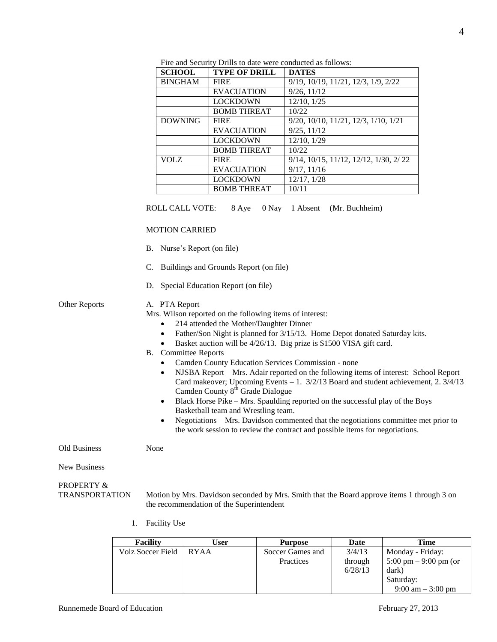| <b>SCHOOL</b>  | <b>TYPE OF DRILL</b> | <b>DATES</b>                          |
|----------------|----------------------|---------------------------------------|
| <b>BINGHAM</b> | <b>FIRE</b>          | 9/19, 10/19, 11/21, 12/3, 1/9, 2/22   |
|                | <b>EVACUATION</b>    | 9/26, 11/12                           |
|                | <b>LOCKDOWN</b>      | 12/10, 1/25                           |
|                | <b>BOMB THREAT</b>   | 10/22                                 |
| <b>DOWNING</b> | <b>FIRE</b>          | 9/20, 10/10, 11/21, 12/3, 1/10, 1/21  |
|                | <b>EVACUATION</b>    | 9/25, 11/12                           |
|                | <b>LOCKDOWN</b>      | 12/10, 1/29                           |
|                | <b>BOMB THREAT</b>   | 10/22                                 |
| VOLZ           | <b>FIRE</b>          | 9/14, 10/15, 11/12, 12/12, 1/30, 2/22 |
|                | <b>EVACUATION</b>    | 9/17, 11/16                           |
|                | <b>LOCKDOWN</b>      | 12/17, 1/28                           |
|                | <b>BOMB THREAT</b>   | 10/11                                 |

Fire and Security Drills to date were conducted as follows:

ROLL CALL VOTE: 8 Aye 0 Nay 1 Absent (Mr. Buchheim)

#### MOTION CARRIED

- B. Nurse's Report (on file)
- C. Buildings and Grounds Report (on file)
- D. Special Education Report (on file)

#### Other Reports A. PTA Report

Mrs. Wilson reported on the following items of interest:

- 214 attended the Mother/Daughter Dinner
- Father/Son Night is planned for 3/15/13. Home Depot donated Saturday kits.
- Basket auction will be 4/26/13. Big prize is \$1500 VISA gift card.
- B. Committee Reports
	- Camden County Education Services Commission none
	- NJSBA Report Mrs. Adair reported on the following items of interest: School Report Card makeover; Upcoming Events – 1. 3/2/13 Board and student achievement, 2. 3/4/13 Camden County  $8^{th}$  Grade Dialogue
	- Black Horse Pike Mrs. Spaulding reported on the successful play of the Boys Basketball team and Wrestling team.
	- Negotiations Mrs. Davidson commented that the negotiations committee met prior to the work session to review the contract and possible items for negotiations.

Old Business None

New Business

# PROPERTY &

TRANSPORTATION Motion by Mrs. Davidson seconded by Mrs. Smith that the Board approve items 1 through 3 on the recommendation of the Superintendent

1. Facility Use

| <b>Facility</b>   | User        | <b>Purpose</b>   | Date    | Time                                    |
|-------------------|-------------|------------------|---------|-----------------------------------------|
| Volz Soccer Field | <b>RYAA</b> | Soccer Games and | 3/4/13  | Monday - Friday:                        |
|                   |             | Practices        | through | $5:00 \text{ pm} - 9:00 \text{ pm}$ (or |
|                   |             |                  | 6/28/13 | dark)                                   |
|                   |             |                  |         | Saturday:                               |
|                   |             |                  |         | $9:00 \text{ am} - 3:00 \text{ pm}$     |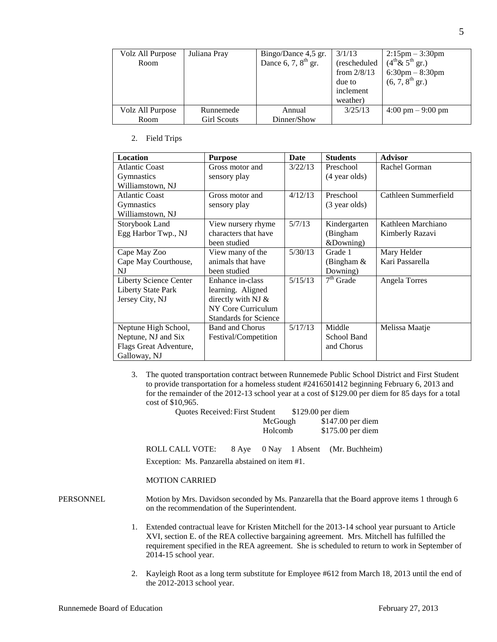| Volz All Purpose | Juliana Pray       | Bingo/Dance 4,5 gr.   | 3/1/13        | $2:15 \text{pm} - 3:30 \text{pm}$   |
|------------------|--------------------|-----------------------|---------------|-------------------------------------|
| Room             |                    | Dance 6, 7, $8th$ gr. | (rescheduled  | $(4^{th}\& 5^{th}$ gr.)             |
|                  |                    |                       | from $2/8/13$ | $6:30 \text{pm} - 8:30 \text{pm}$   |
|                  |                    |                       | due to        | $(6, 7, 8^{\text{th}} \text{ gr.})$ |
|                  |                    |                       | inclement     |                                     |
|                  |                    |                       | weather)      |                                     |
| Volz All Purpose | Runnemede          | Annual                | 3/25/13       | $4:00 \text{ pm} - 9:00 \text{ pm}$ |
| Room             | <b>Girl Scouts</b> | Dinner/Show           |               |                                     |

#### 2. Field Trips

| <b>Location</b>           | <b>Purpose</b>               | <b>Date</b> | <b>Students</b> | <b>Advisor</b>       |
|---------------------------|------------------------------|-------------|-----------------|----------------------|
| <b>Atlantic Coast</b>     | Gross motor and              | 3/22/13     | Preschool       | Rachel Gorman        |
| <b>Gymnastics</b>         | sensory play                 |             | (4 year olds)   |                      |
| Williamstown, NJ          |                              |             |                 |                      |
| <b>Atlantic Coast</b>     | Gross motor and              | 4/12/13     | Preschool       | Cathleen Summerfield |
| <b>Gymnastics</b>         | sensory play                 |             | (3 year olds)   |                      |
| Williamstown, NJ          |                              |             |                 |                      |
| Storybook Land            | View nursery rhyme           | 5/7/13      | Kindergarten    | Kathleen Marchiano   |
| Egg Harbor Twp., NJ       | characters that have         |             | (Bingham        | Kimberly Razavi      |
|                           | been studied                 |             | &Downing)       |                      |
| Cape May Zoo              | View many of the             | 5/30/13     | Grade 1         | Mary Helder          |
| Cape May Courthouse,      | animals that have            |             | (Bingham $\&$   | Kari Passarella      |
| NJ                        | been studied                 |             | Downing)        |                      |
| Liberty Science Center    | Enhance in-class             | 5/15/13     | $7th$ Grade     | Angela Torres        |
| <b>Liberty State Park</b> | learning. Aligned            |             |                 |                      |
| Jersey City, NJ           | directly with NJ $\&$        |             |                 |                      |
|                           | NY Core Curriculum           |             |                 |                      |
|                           | <b>Standards for Science</b> |             |                 |                      |
| Neptune High School,      | <b>Band and Chorus</b>       | 5/17/13     | Middle          | Melissa Maatje       |
| Neptune, NJ and Six       | Festival/Competition         |             | School Band     |                      |
| Flags Great Adventure,    |                              |             | and Chorus      |                      |
| Galloway, NJ              |                              |             |                 |                      |

3. The quoted transportation contract between Runnemede Public School District and First Student to provide transportation for a homeless student #2416501412 beginning February 6, 2013 and for the remainder of the 2012-13 school year at a cost of \$129.00 per diem for 85 days for a total cost of \$10,965.

| <b>Ouotes Received: First Student</b> |         | $$129.00$ per diem |
|---------------------------------------|---------|--------------------|
|                                       | McGough | $$147.00$ per diem |
|                                       | Holcomb | $$175.00$ per diem |

ROLL CALL VOTE: 8 Aye 0 Nay 1 Absent (Mr. Buchheim) Exception: Ms. Panzarella abstained on item #1.

#### MOTION CARRIED

PERSONNEL Motion by Mrs. Davidson seconded by Ms. Panzarella that the Board approve items 1 through 6 on the recommendation of the Superintendent.

- 1. Extended contractual leave for Kristen Mitchell for the 2013-14 school year pursuant to Article XVI, section E. of the REA collective bargaining agreement. Mrs. Mitchell has fulfilled the requirement specified in the REA agreement. She is scheduled to return to work in September of 2014-15 school year.
- 2. Kayleigh Root as a long term substitute for Employee #612 from March 18, 2013 until the end of the 2012-2013 school year.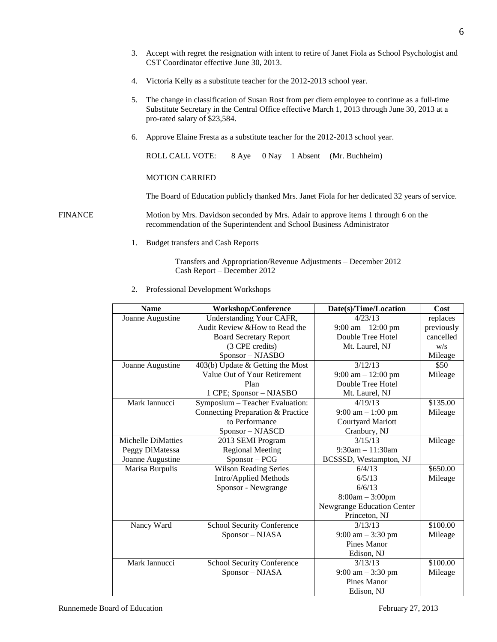- 3. Accept with regret the resignation with intent to retire of Janet Fiola as School Psychologist and CST Coordinator effective June 30, 2013.
- 4. Victoria Kelly as a substitute teacher for the 2012-2013 school year.
- 5. The change in classification of Susan Rost from per diem employee to continue as a full-time Substitute Secretary in the Central Office effective March 1, 2013 through June 30, 2013 at a pro-rated salary of \$23,584.
- 6. Approve Elaine Fresta as a substitute teacher for the 2012-2013 school year.

ROLL CALL VOTE: 8 Aye 0 Nay 1 Absent (Mr. Buchheim)

#### MOTION CARRIED

The Board of Education publicly thanked Mrs. Janet Fiola for her dedicated 32 years of service.

FINANCE Motion by Mrs. Davidson seconded by Mrs. Adair to approve items 1 through 6 on the recommendation of the Superintendent and School Business Administrator

1. Budget transfers and Cash Reports

Transfers and Appropriation/Revenue Adjustments – December 2012 Cash Report – December 2012

2. Professional Development Workshops

| <b>Name</b>        | <b>Workshop/Conference</b>                    | Date(s)/Time/Location               | Cost       |
|--------------------|-----------------------------------------------|-------------------------------------|------------|
| Joanne Augustine   | Understanding Your CAFR,                      | 4/23/13                             | replaces   |
|                    | Audit Review & How to Read the                | $9:00$ am $-12:00$ pm               | previously |
|                    | <b>Board Secretary Report</b>                 | Double Tree Hotel                   | cancelled  |
|                    | (3 CPE credits)                               | Mt. Laurel, NJ                      | W/S        |
|                    | Sponsor - NJASBO                              |                                     | Mileage    |
| Joanne Augustine   | $\overline{403(b)}$ Update & Getting the Most | 3/12/13                             | \$50       |
|                    | Value Out of Your Retirement                  | $9:00$ am $-12:00$ pm               | Mileage    |
|                    | Plan                                          | Double Tree Hotel                   |            |
|                    | 1 CPE; Sponsor - NJASBO                       | Mt. Laurel, NJ                      |            |
| Mark Iannucci      | Symposium - Teacher Evaluation:               | 4/19/13                             | \$135.00   |
|                    | Connecting Preparation & Practice             | $9:00 \text{ am} - 1:00 \text{ pm}$ | Mileage    |
|                    | to Performance                                | Courtyard Mariott                   |            |
|                    | Sponsor - NJASCD                              | Cranbury, NJ                        |            |
| Michelle DiMatties | 2013 SEMI Program                             | 3/15/13                             | Mileage    |
| Peggy DiMatessa    | <b>Regional Meeting</b>                       | $9:30$ am $-11:30$ am               |            |
| Joanne Augustine   | Sponsor - PCG                                 | BCSSSD, Westampton, NJ              |            |
| Marisa Burpulis    | <b>Wilson Reading Series</b>                  | 6/4/13                              | \$650.00   |
|                    | Intro/Applied Methods                         | 6/5/13                              | Mileage    |
|                    | Sponsor - Newgrange                           | 6/6/13                              |            |
|                    |                                               | $8:00am - 3:00pm$                   |            |
|                    |                                               | Newgrange Education Center          |            |
|                    |                                               | Princeton, NJ                       |            |
| Nancy Ward         | <b>School Security Conference</b>             | 3/13/13                             | \$100.00   |
|                    | Sponsor - NJASA                               | $9:00 \text{ am} - 3:30 \text{ pm}$ | Mileage    |
|                    |                                               | Pines Manor                         |            |
|                    |                                               | Edison, NJ                          |            |
| Mark Iannucci      | School Security Conference                    | 3/13/13                             | \$100.00   |
|                    | Sponsor - NJASA                               | $9:00$ am $-3:30$ pm                | Mileage    |
|                    |                                               | <b>Pines Manor</b>                  |            |
|                    |                                               | Edison, NJ                          |            |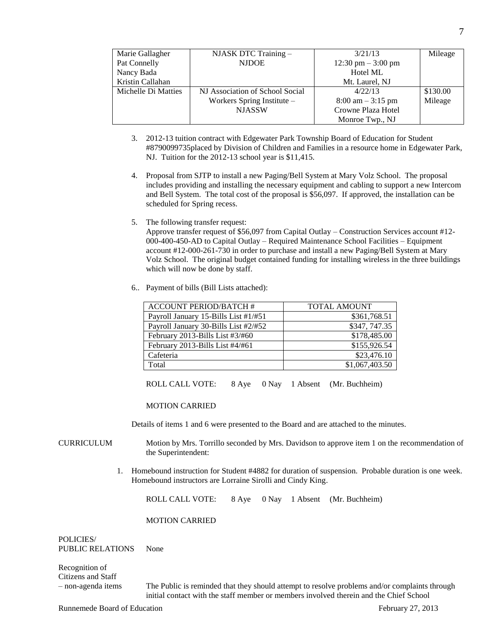| Marie Gallagher     | NJASK DTC Training -            | 3/21/13                              | Mileage  |
|---------------------|---------------------------------|--------------------------------------|----------|
| Pat Connelly        | <b>NJDOE</b>                    | $12:30 \text{ pm} - 3:00 \text{ pm}$ |          |
| Nancy Bada          |                                 | Hotel ML                             |          |
| Kristin Callahan    |                                 | Mt. Laurel, NJ                       |          |
| Michelle Di Matties | NJ Association of School Social | 4/22/13                              | \$130.00 |
|                     | Workers Spring Institute $-$    | $8:00 \text{ am} - 3:15 \text{ pm}$  | Mileage  |
|                     | <b>NJASSW</b>                   | Crowne Plaza Hotel                   |          |
|                     |                                 | Monroe Twp., NJ                      |          |

- 3. 2012-13 tuition contract with Edgewater Park Township Board of Education for Student #8790099735placed by Division of Children and Families in a resource home in Edgewater Park, NJ. Tuition for the 2012-13 school year is \$11,415.
- 4. Proposal from SJTP to install a new Paging/Bell System at Mary Volz School. The proposal includes providing and installing the necessary equipment and cabling to support a new Intercom and Bell System. The total cost of the proposal is \$56,097. If approved, the installation can be scheduled for Spring recess.
- 5. The following transfer request:

Approve transfer request of \$56,097 from Capital Outlay – Construction Services account #12- 000-400-450-AD to Capital Outlay – Required Maintenance School Facilities – Equipment account #12-000-261-730 in order to purchase and install a new Paging/Bell System at Mary Volz School. The original budget contained funding for installing wireless in the three buildings which will now be done by staff.

6.. Payment of bills (Bill Lists attached):

| <b>ACCOUNT PERIOD/BATCH #</b>        | <b>TOTAL AMOUNT</b>      |
|--------------------------------------|--------------------------|
| Payroll January 15-Bills List #1/#51 | \$361,768.51             |
| Payroll January 30-Bills List #2/#52 | \$347, 747.35            |
| February 2013-Bills List #3/#60      | \$178,485.00             |
| February 2013-Bills List #4/#61      | $$155,926.\overline{54}$ |
| Cafeteria                            | \$23,476.10              |
| Total                                | \$1,067,403.50           |

ROLL CALL VOTE: 8 Aye 0 Nay 1 Absent (Mr. Buchheim)

#### MOTION CARRIED

Details of items 1 and 6 were presented to the Board and are attached to the minutes.

- CURRICULUM Motion by Mrs. Torrillo seconded by Mrs. Davidson to approve item 1 on the recommendation of the Superintendent:
	- 1. Homebound instruction for Student #4882 for duration of suspension. Probable duration is one week. Homebound instructors are Lorraine Sirolli and Cindy King.

ROLL CALL VOTE: 8 Aye 0 Nay 1 Absent (Mr. Buchheim)

#### MOTION CARRIED

POLICIES/ PUBLIC RELATIONS None

Recognition of Citizens and Staff

– non-agenda items The Public is reminded that they should attempt to resolve problems and/or complaints through initial contact with the staff member or members involved therein and the Chief School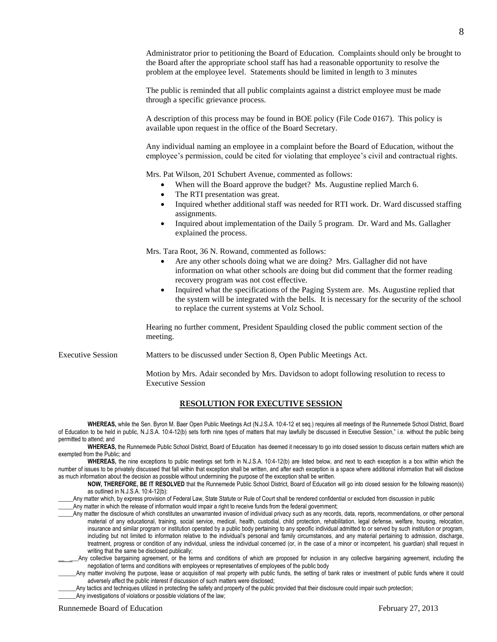The public is reminded that all public complaints against a district employee must be made through a specific grievance process.

A description of this process may be found in BOE policy (File Code 0167). This policy is available upon request in the office of the Board Secretary.

Any individual naming an employee in a complaint before the Board of Education, without the employee's permission, could be cited for violating that employee's civil and contractual rights.

Mrs. Pat Wilson, 201 Schubert Avenue, commented as follows:

- When will the Board approve the budget? Ms. Augustine replied March 6.
- The RTI presentation was great.
- Inquired whether additional staff was needed for RTI work. Dr. Ward discussed staffing assignments.
- Inquired about implementation of the Daily 5 program. Dr. Ward and Ms. Gallagher explained the process.

Mrs. Tara Root, 36 N. Rowand, commented as follows:

- Are any other schools doing what we are doing? Mrs. Gallagher did not have information on what other schools are doing but did comment that the former reading recovery program was not cost effective.
- Inquired what the specifications of the Paging System are. Ms. Augustine replied that the system will be integrated with the bells. It is necessary for the security of the school to replace the current systems at Volz School.

Hearing no further comment, President Spaulding closed the public comment section of the meeting.

Executive Session Matters to be discussed under Section 8, Open Public Meetings Act.

Motion by Mrs. Adair seconded by Mrs. Davidson to adopt following resolution to recess to Executive Session

#### **RESOLUTION FOR EXECUTIVE SESSION**

**WHEREAS,** while the Sen. Byron M. Baer Open Public Meetings Act (N.J.S.A. 10:4-12 et seq.) requires all meetings of the Runnemede School District, Board of Education to be held in public, N.J.S.A. 10:4-12(b) sets forth nine types of matters that may lawfully be discussed in Executive Session," i.e. without the public being permitted to attend; and

WHEREAS, the Runnemede Public School District, Board of Education has deemed it necessary to go into closed session to discuss certain matters which are exempted from the Public; and

**WHEREAS,** the nine exceptions to public meetings set forth in N.J.S.A. 10:4-12(b) are listed below, and next to each exception is a box within which the number of issues to be privately discussed that fall within that exception shall be written, and after each exception is a space where additional information that will disclose as much information about the decision as possible without undermining the purpose of the exception shall be written.

**NOW, THEREFORE, BE IT RESOLVED** that the Runnemede Public School District, Board of Education will go into closed session for the following reason(s) as outlined in N.J.S.A. 10:4-12(b):

Any matter which, by express provision of Federal Law, State Statute or Rule of Court shall be rendered confidential or excluded from discussion in public

Any matter in which the release of information would impair a right to receive funds from the federal government;

\_\_\_\_\_Any matter the disclosure of which constitutes an unwarranted invasion of individual privacy such as any records, data, reports, recommendations, or other personal material of any educational, training, social service, medical, health, custodial, child protection, rehabilitation, legal defense, welfare, housing, relocation, insurance and similar program or institution operated by a public body pertaining to any specific individual admitted to or served by such institution or program, including but not limited to information relative to the individual's personal and family circumstances, and any material pertaining to admission, discharge, treatment, progress or condition of any individual, unless the individual concerned (or, in the case of a minor or incompetent, his guardian) shall request in writing that the same be disclosed publically;

Any collective bargaining agreement, or the terms and conditions of which are proposed for inclusion in any collective bargaining agreement, including the negotiation of terms and conditions with employees or representatives of employees of the public body

Any matter involving the purpose, lease or acquisition of real property with public funds, the setting of bank rates or investment of public funds where it could adversely affect the public interest if discussion of such matters were disclosed;

Any tactics and techniques utilized in protecting the safety and property of the public provided that their disclosure could impair such protection;

Any investigations of violations or possible violations of the law;